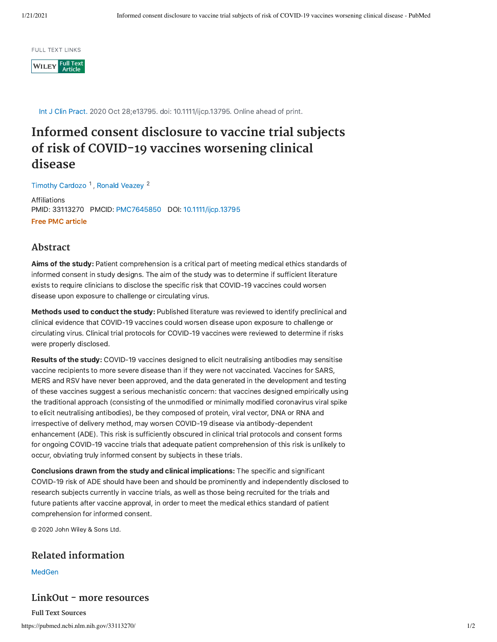**FULL TEXT LINKS** 

**WILEY** Full Text

Int J Clin Pract. 2020 Oct 28;e13795. doi: 10.1111/ijcp.13795. Online ahead of print.

# **Informed consent disclosure to vaccine trial subjects of risk of COVID-19 vaccines worsening clinical disease**

Timothy [Cardozo](https://pubmed.ncbi.nlm.nih.gov/?term=Cardozo+T&cauthor_id=33113270)<sup>1</sup>, Ronald [Veazey](https://pubmed.ncbi.nlm.nih.gov/?term=Veazey+R&cauthor_id=33113270)<sup>2</sup>

Affiliations PMID: 33113270 PMCID: [PMC7645850](http://www.ncbi.nlm.nih.gov/pmc/articles/pmc7645850/) DOI: [10.1111/ijcp.13795](https://doi.org/10.1111/ijcp.13795) Free PMC article

### **Abstract**

Aims of the study: Patient comprehension is a critical part of meeting medical ethics standards of informed consent in study designs. The aim of the study was to determine if sufficient literature exists to require clinicians to disclose the specific risk that COVID-19 vaccines could worsen disease upon exposure to challenge or circulating virus.

Methods used to conduct the study: Published literature was reviewed to identify preclinical and clinical evidence that COVID-19 vaccines could worsen disease upon exposure to challenge or circulating virus. Clinical trial protocols for COVID-19 vaccines were reviewed to determine if risks were properly disclosed.

Results of the study: COVID-19 vaccines designed to elicit neutralising antibodies may sensitise vaccine recipients to more severe disease than if they were not vaccinated. Vaccines for SARS, MERS and RSV have never been approved, and the data generated in the development and testing of these vaccines suggest a serious mechanistic concern: that vaccines designed empirically using the traditional approach (consisting of the unmodified or minimally modified coronavirus viral spike to elicit neutralising antibodies), be they composed of protein, viral vector, DNA or RNA and irrespective of delivery method, may worsen COVID-19 disease via antibody-dependent enhancement (ADE). This risk is sufficiently obscured in clinical trial protocols and consent forms for ongoing COVID-19 vaccine trials that adequate patient comprehension of this risk is unlikely to occur, obviating truly informed consent by subjects in these trials.

Conclusions drawn from the study and clinical implications: The specific and significant COVID-19 risk of ADE should have been and should be prominently and independently disclosed to research subjects currently in vaccine trials, as well as those being recruited for the trials and future patients after vaccine approval, in order to meet the medical ethics standard of patient comprehension for informed consent.

© 2020 John Wiley & Sons Ltd.

## **Related information**

**[MedGen](https://www.ncbi.nlm.nih.gov/medgen/?linkname=pubmed_medgen&from_uid=33113270)** 

**LinkOut - more resources**

https://pubmed.ncbi.nlm.nih.gov/33113270/ 1/2 **Full Text Sources**